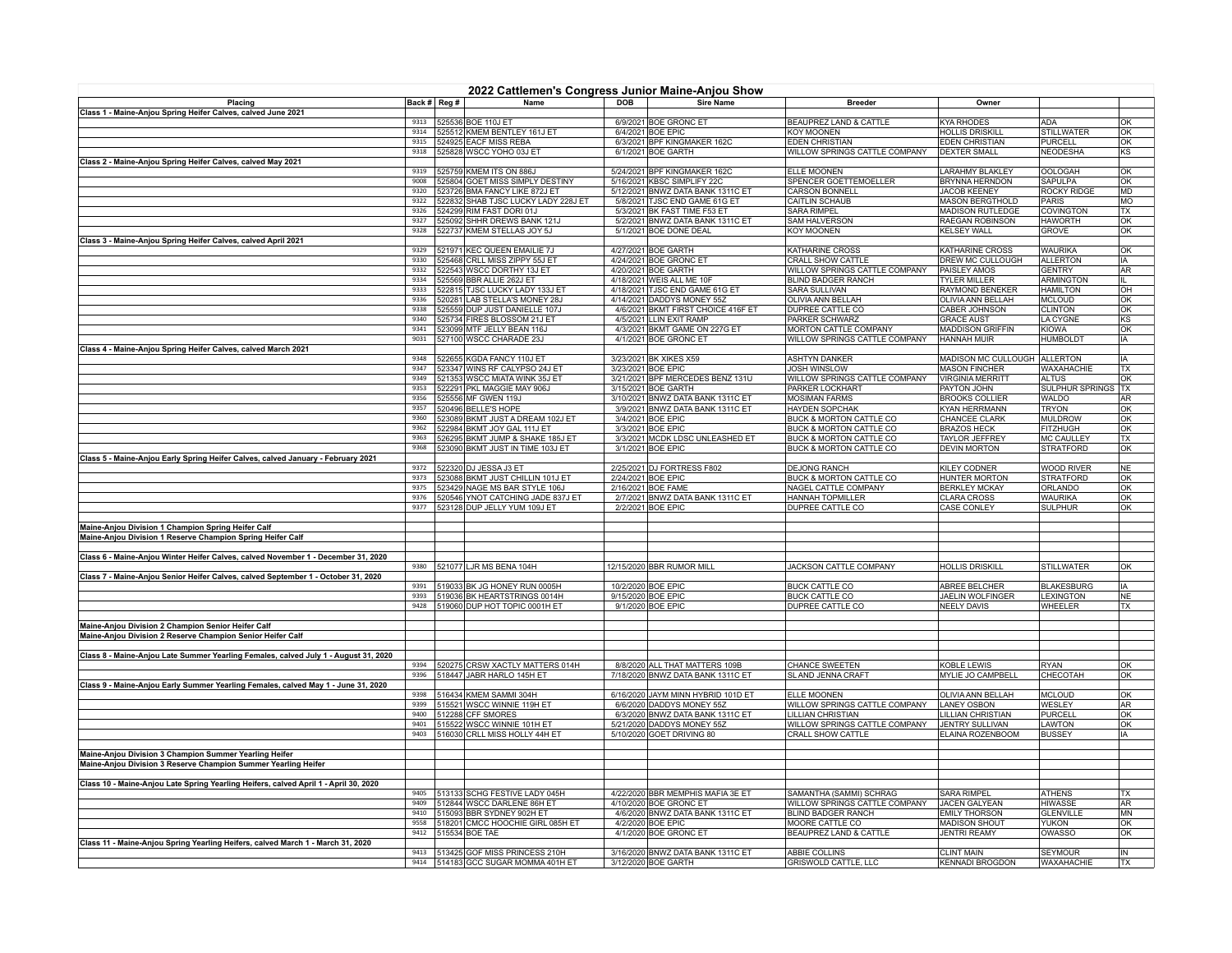| 2022 Cattlemen's Congress Junior Maine-Anjou Show                                    |              |  |                                                                           |     |                                                                    |                                                            |                                                 |                                     |                 |
|--------------------------------------------------------------------------------------|--------------|--|---------------------------------------------------------------------------|-----|--------------------------------------------------------------------|------------------------------------------------------------|-------------------------------------------------|-------------------------------------|-----------------|
| Placing                                                                              | Back # Reg # |  | Name                                                                      | DOB | <b>Sire Name</b>                                                   | <b>Breeder</b>                                             | Owner                                           |                                     |                 |
| Class 1 - Maine-Anjou Spring Heifer Calves, calved June 2021                         |              |  |                                                                           |     |                                                                    |                                                            |                                                 |                                     |                 |
|                                                                                      |              |  | 9313 525536 BOE 110J ET                                                   |     | 6/9/2021 BOE GRONC ET                                              | BEAUPREZ LAND & CATTLE                                     | <b>KYA RHODES</b>                               | <b>ADA</b>                          | OK              |
|                                                                                      |              |  | 9314   525512 KMEM BENTLEY 161J ET<br>9315   524925 EACF MISS REBA        |     | 6/4/2021 BOE EPIC<br>6/3/2021 BPF KINGMAKER 162C                   | <b>KOY MOONEN</b><br><b>EDEN CHRISTIAN</b>                 | <b>HOLLIS DRISKILI</b><br><b>EDEN CHRISTIAN</b> | <b>STILLWATER</b><br><b>PURCELL</b> | OK<br> OK       |
|                                                                                      |              |  | 9318   525828 WSCC YOHO 03J ET                                            |     | 6/1/2021 BOE GARTH                                                 | WILLOW SPRINGS CATTLE COMPANY                              | <b>DEXTER SMALL</b>                             | <b>NEODESHA</b>                     | KS              |
| Class 2 - Maine-Anjou Spring Heifer Calves, calved May 2021                          |              |  |                                                                           |     |                                                                    |                                                            |                                                 |                                     |                 |
|                                                                                      |              |  | 9319 525759 KMEM ITS ON 886J                                              |     | 5/24/2021 BPF KINGMAKER 162C                                       | ELLE MOONEN                                                | LARAHMY BLAKLEY                                 | <b>OOLOGAH</b>                      | OK              |
|                                                                                      |              |  | 9008 525804 GOET MISS SIMPLY DESTINY                                      |     | 5/16/2021 KBSC SIMPLIFY 22C                                        | <b>SPENCER GOETTEMOELLER</b>                               | <b>BRYNNA HERNDON</b>                           | <b>SAPULPA</b>                      | OK              |
|                                                                                      | 9322         |  | 9320 523726 BMA FANCY LIKE 872J ET<br>522832 SHAB TJSC LUCKY LADY 228J ET |     | 5/12/2021 BNWZ DATA BANK 1311C ET<br>5/8/2021 TJSC END GAME 61G ET | <b>CARSON BONNELL</b><br>CAITLIN SCHAUB                    | JACOB KEENEY<br><b>MASON BERGTHOLD</b>          | <b>ROCKY RIDGE</b><br>PARIS         | MD<br><b>MO</b> |
|                                                                                      |              |  | 9326 524299 RIM FAST DORI 01J                                             |     | 5/3/2021 BK FAST TIME F53 ET                                       | <b>SARA RIMPEL</b>                                         | <b>MADISON RUTLEDGE</b>                         | <b>COVINGTON</b>                    | TX              |
|                                                                                      |              |  | 9327 525092 SHHR DREWS BANK 121J                                          |     | 5/2/2021 BNWZ DATA BANK 1311C ET                                   | SAM HALVERSON                                              | RAEGAN ROBINSON                                 | <b>HAWORTH</b>                      | OK              |
|                                                                                      |              |  | 9328 522737 KMEM STELLAS JOY 5J                                           |     | 5/1/2021 BOE DONE DEAL                                             | <b>KOY MOONEN</b>                                          | <b>KELSEY WALL</b>                              | <b>GROVE</b>                        | OK              |
| Class 3 - Maine-Anjou Spring Heifer Calves, calved April 2021                        |              |  |                                                                           |     |                                                                    |                                                            |                                                 |                                     |                 |
|                                                                                      | 9329         |  | 521971 KEC QUEEN EMAILIE 7J                                               |     | 4/27/2021 BOE GARTH                                                | KATHARINE CROSS                                            | KATHARINE CROSS                                 | <b>WAURIKA</b>                      | OK              |
|                                                                                      | 9330<br>9332 |  | 525468 CRLL MISS ZIPPY 55J ET                                             |     | 4/24/2021 BOE GRONC ET                                             | CRALL SHOW CATTLE                                          | DREW MC CULLOUGH                                | <b>ALLERTON</b>                     | IA              |
|                                                                                      | 9334         |  | 522543 WSCC DORTHY 13J ET<br>525569 BBR ALLIE 262J ET                     |     | 4/20/2021 BOE GARTH<br>4/18/2021 WEIS ALL ME 10F                   | WILLOW SPRINGS CATTLE COMPANY<br><b>BLIND BADGER RANCH</b> | <b>PAISLEY AMOS</b><br><b>TYLER MILLER</b>      | <b>GENTRY</b><br>ARMINGTON          | AR<br>īπ        |
|                                                                                      | 9333         |  | 522815 TJSC LUCKY LADY 133J ET                                            |     | 4/18/2021 TJSC END GAME 61G ET                                     | <b>SARA SULLIVAN</b>                                       | <b>RAYMOND BENEKER</b>                          | <b>HAMILTON</b>                     | Іон             |
|                                                                                      | 9336         |  | 520281 LAB STELLA'S MONEY 28J                                             |     | 4/14/2021 DADDYS MONEY 55Z                                         | <b>OLIVIA ANN BELLAH</b>                                   | OLIVIA ANN BELLAH                               | <b>MCLOUD</b>                       | OK              |
|                                                                                      |              |  | 9338 525559 DUP JUST DANIELLE 107J                                        |     | 4/6/2021 BKMT FIRST CHOICE 416F ET                                 | DUPREE CATTLE CO                                           | <b>CABER JOHNSON</b>                            | <b>CLINTON</b>                      | OK              |
|                                                                                      |              |  | 9340   525734 FIRES BLOSSOM 21J ET                                        |     | 4/5/2021 LLIN EXIT RAMP                                            | <b>PARKER SCHWARZ</b>                                      | <b>GRACE AUST</b>                               | LA CYGNE                            | KS              |
|                                                                                      |              |  | 9341 523099 MTF JELLY BEAN 116J                                           |     | 4/3/2021 BKMT GAME ON 227G ET                                      | MORTON CATTLE COMPANY                                      | <b>MADDISON GRIFFIN</b>                         | <b>KIOWA</b>                        | OK              |
|                                                                                      | 9031         |  | 527100 WSCC CHARADE 23J                                                   |     | 4/1/2021 BOE GRONC ET                                              | WILLOW SPRINGS CATTLE COMPANY                              | <b>HANNAH MUIR</b>                              | <b>HUMBOLDT</b>                     | IA              |
| Class 4 - Maine-Anjou Spring Heifer Calves, calved March 2021                        |              |  | 9348   522655 KGDA FANCY 110J ET                                          |     | 3/23/2021 BK XIKES X59                                             | <b>ASHTYN DANKER</b>                                       | MADISON MC CULLOUGH ALLERTON                    |                                     | IA              |
|                                                                                      |              |  | 9347 523347 WINS RF CALYPSO 24J ET                                        |     | 3/23/2021 BOE EPIC                                                 | <b>JOSH WINSLOW</b>                                        | <b>MASON FINCHER</b>                            | WAXAHACHIE                          | <b>TX</b>       |
|                                                                                      |              |  | 9349   521353 WSCC MIATA WINK 35J ET                                      |     | 3/21/2021 BPF MERCEDES BENZ 131U                                   | WILLOW SPRINGS CATTLE COMPANY                              | <b>VIRGINIA MERRITT</b>                         | <b>ALTUS</b>                        | OK              |
|                                                                                      |              |  | 9353 522291 PKL MAGGIE MAY 906J                                           |     | 3/15/2021 BOE GARTH                                                | PARKER LOCKHART                                            | PAYTON JOHN                                     | SULPHUR SPRINGS   TX                |                 |
|                                                                                      |              |  | 9356   525556 MF GWEN 119J                                                |     | 3/10/2021 BNWZ DATA BANK 1311C ET                                  | <b>MOSIMAN FARMS</b>                                       | <b>BROOKS COLLIER</b>                           | WALDO                               | AR              |
|                                                                                      |              |  | 9357 520496 BELLE'S HOPE                                                  |     | 3/9/2021 BNWZ DATA BANK 1311C ET                                   | <b>HAYDEN SOPCHAK</b>                                      | <b>KYAN HERRMANN</b>                            | <b>TRYON</b>                        | OK              |
|                                                                                      | 9360<br>9362 |  | 523089 BKMT JUST A DREAM 102J ET<br>522984 BKMT JOY GAL 111J ET           |     | 3/4/2021 BOE EPIC<br>3/3/2021 BOE EPIC                             | BUCK & MORTON CATTLE CO<br>BUCK & MORTON CATTLE CO         | CHANCEE CLARK<br><b>BRAZOS HECK</b>             | <b>MULDROW</b><br><b>FITZHUGH</b>   | OK<br> OK       |
|                                                                                      | 9363         |  | 526295 BKMT JUMP & SHAKE 185J ET                                          |     | 3/3/2021 MCDK LDSC UNLEASHED ET                                    | <b>BUCK &amp; MORTON CATTLE CO</b>                         | TAYLOR JEFFREY                                  | <b>MC CAULLEY</b>                   | TX              |
|                                                                                      |              |  | 9368 523090 BKMT JUST IN TIME 103J ET                                     |     | 3/1/2021 BOE EPIC                                                  | <b>BUCK &amp; MORTON CATTLE CO</b>                         | <b>DEVIN MORTON</b>                             | <b>STRATFORD</b>                    | OK              |
| Class 5 - Maine-Anjou Early Spring Heifer Calves, calved January - February 2021     |              |  |                                                                           |     |                                                                    |                                                            |                                                 |                                     |                 |
|                                                                                      | 9372         |  | 522320 DJ JESSA J3 ET                                                     |     | 2/25/2021 DJ FORTRESS F802                                         | <b>DEJONG RANCH</b>                                        | <b>KILEY CODNER</b>                             | <b>WOOD RIVER</b>                   | NF              |
|                                                                                      |              |  | 9373   523088 BKMT JUST CHILLIN 101J ET                                   |     | 2/24/2021 BOE EPIC                                                 | BUCK & MORTON CATTLE CO                                    | <b>HUNTER MORTON</b>                            | <b>STRATFORD</b>                    | OK              |
|                                                                                      |              |  | 9375 523429 NAGE MS BAR STYLE 106J                                        |     | 2/16/2021 BOE FAME                                                 | NAGEL CATTLE COMPANY                                       | <b>BERKLEY MCKAY</b>                            | ORLANDO                             | OK              |
|                                                                                      |              |  | 9376 520546 YNOT CATCHING JADE 837J ET                                    |     | 2/7/2021 BNWZ DATA BANK 1311C ET                                   | HANNAH TOPMILLER<br>DUPREE CATTLE CO                       | <b>CLARA CROSS</b>                              | WAURIKA                             | OK              |
|                                                                                      |              |  | 9377 523128 DUP JELLY YUM 109J ET                                         |     | 2/2/2021 BOE EPIC                                                  |                                                            | CASE CONLEY                                     | <b>SULPHUR</b>                      | OK              |
| Maine-Anjou Division 1 Champion Spring Heifer Calf                                   |              |  |                                                                           |     |                                                                    |                                                            |                                                 |                                     |                 |
| Maine-Anjou Division 1 Reserve Champion Spring Heifer Calf                           |              |  |                                                                           |     |                                                                    |                                                            |                                                 |                                     |                 |
|                                                                                      |              |  |                                                                           |     |                                                                    |                                                            |                                                 |                                     |                 |
| Class 6 - Maine-Anjou Winter Heifer Calves, calved November 1 - December 31, 2020    |              |  |                                                                           |     |                                                                    |                                                            |                                                 |                                     |                 |
|                                                                                      |              |  | 9380 521077 LJR MS BENA 104H                                              |     | 12/15/2020 BBR RUMOR MILL                                          | JACKSON CATTLE COMPANY                                     | <b>HOLLIS DRISKILL</b>                          | <b>STILLWATER</b>                   | OK              |
| Class 7 - Maine-Anjou Senior Heifer Calves, calved September 1 - October 31, 2020    |              |  | 9391 519033 BK JG HONEY RUN 0005H                                         |     | 10/2/2020 BOE EPIC                                                 | <b>BUCK CATTLE CO</b>                                      | ABREE BELCHER                                   | <b>BLAKESBURG</b>                   | IA              |
|                                                                                      |              |  | 9393   519036 BK HEARTSTRINGS 0014H                                       |     | 9/15/2020 BOE EPIC                                                 | <b>BUCK CATTLE CO</b>                                      | JAELIN WOLFINGER                                | LEXINGTON                           | NE              |
|                                                                                      |              |  | 9428 519060 DUP HOT TOPIC 0001H ET                                        |     | 9/1/2020 BOE EPIC                                                  | DUPREE CATTLE CO                                           | <b>NEELY DAVIS</b>                              | WHEELER                             | TX              |
|                                                                                      |              |  |                                                                           |     |                                                                    |                                                            |                                                 |                                     |                 |
| Maine-Anjou Division 2 Champion Senior Heifer Calf                                   |              |  |                                                                           |     |                                                                    |                                                            |                                                 |                                     |                 |
| Maine-Anjou Division 2 Reserve Champion Senior Heifer Calf                           |              |  |                                                                           |     |                                                                    |                                                            |                                                 |                                     |                 |
| Class 8 - Maine-Anjou Late Summer Yearling Females, calved July 1 - August 31, 2020  |              |  |                                                                           |     |                                                                    |                                                            |                                                 |                                     |                 |
|                                                                                      |              |  | 9394 520275 CRSW XACTLY MATTERS 014H                                      |     | 8/8/2020 ALL THAT MATTERS 109B                                     | <b>CHANCE SWEETEN</b>                                      | KOBLE LEWIS                                     | <b>RYAN</b>                         | OK              |
|                                                                                      |              |  | 9396 518447 JABR HARLO 145H ET                                            |     | 7/18/2020 BNWZ DATA BANK 1311C ET                                  | SLAND JENNA CRAFT                                          | MYLIE JO CAMPBELL                               | CHECOTAH                            | OK              |
| Class 9 - Maine-Anjou Early Summer Yearling Females, calved May 1 - June 31, 2020    |              |  |                                                                           |     |                                                                    |                                                            |                                                 |                                     |                 |
|                                                                                      | 9398         |  | 516434 KMEM SAMMI 304H                                                    |     | 6/16/2020 JAYM MINN HYBRID 101D ET                                 | ELLE MOONEN                                                | OLIVIA ANN BELLAH                               | <b>MCLOUD</b>                       | OK              |
|                                                                                      |              |  | 9399   515521 WSCC WINNIE 119H ET                                         |     | 6/6/2020 DADDYS MONEY 55Z                                          | WILLOW SPRINGS CATTLE COMPANY                              | <b>LANEY OSBON</b>                              | WESLEY                              | AR.             |
|                                                                                      |              |  | 9400 512288 CFF SMORES<br>9401 515522 WSCC WINNIE 101H ET                 |     | 6/3/2020 BNWZ DATA BANK 1311C ET                                   | LILLIAN CHRISTIAN                                          | LILLIAN CHRISTIAN<br><b>JENTRY SULLIVAN</b>     | <b>PURCELL</b>                      | OK              |
|                                                                                      |              |  | 9403 516030 CRLL MISS HOLLY 44H ET                                        |     | 5/21/2020 DADDYS MONEY 55Z<br>5/10/2020 GOET DRIVING 80            | WILLOW SPRINGS CATTLE COMPANY<br><b>CRALL SHOW CATTLE</b>  | ELAINA ROZENBOOM                                | LAWTON<br><b>BUSSEY</b>             | OK<br>IA        |
|                                                                                      |              |  |                                                                           |     |                                                                    |                                                            |                                                 |                                     |                 |
| Maine-Anjou Division 3 Champion Summer Yearling Heifer                               |              |  |                                                                           |     |                                                                    |                                                            |                                                 |                                     |                 |
| Maine-Anjou Division 3 Reserve Champion Summer Yearling Heifer                       |              |  |                                                                           |     |                                                                    |                                                            |                                                 |                                     |                 |
|                                                                                      |              |  |                                                                           |     |                                                                    |                                                            |                                                 |                                     |                 |
| Class 10 - Maine-Anjou Late Spring Yearling Heifers, calved April 1 - April 30, 2020 |              |  |                                                                           |     |                                                                    |                                                            |                                                 |                                     |                 |
|                                                                                      |              |  | 9405   513133 SCHG FESTIVE LADY 045H<br>9409   512844 WSCC DARLENE 86H ET |     | 4/22/2020 BBR MEMPHIS MAFIA 3E ET                                  | SAMANTHA (SAMMI) SCHRAG<br>WILLOW SPRINGS CATTLE COMPANY   | SARA RIMPEL                                     | <b>ATHENS</b>                       | <b>TX</b>       |
|                                                                                      |              |  | 9410 515093 BBR SYDNEY 902H ET                                            |     | 4/10/2020 BOE GRONC ET<br>4/6/2020 BNWZ DATA BANK 1311C ET         | <b>BLIND BADGER RANCH</b>                                  | JACEN GALYEAN<br><b>EMILY THORSON</b>           | <b>HIWASSE</b><br><b>GLENVILLE</b>  | AR<br><b>MN</b> |
|                                                                                      |              |  | 9558   518201 CMCC HOOCHIE GIRL 085H ET                                   |     | 4/2/2020 BOE EPIC                                                  | MOORE CATTLE CO                                            | <b>MADISON SHOUT</b>                            | <b>YUKON</b>                        | OK              |
|                                                                                      |              |  | 9412 515534 BOE TAE                                                       |     | 4/1/2020 BOE GRONC ET                                              | BEAUPREZ LAND & CATTLE                                     | <b>JENTRI REAMY</b>                             | OWASSO                              | OK              |
| Class 11 - Maine-Anjou Spring Yearling Heifers, calved March 1 - March 31, 2020      |              |  |                                                                           |     |                                                                    |                                                            |                                                 |                                     |                 |
|                                                                                      |              |  | 9413 513425 GOF MISS PRINCESS 210H                                        |     | 3/16/2020 BNWZ DATA BANK 1311C ET                                  | <b>ABBIE COLLINS</b>                                       | <b>CLINT MAIN</b>                               | <b>SEYMOUR</b>                      | İIN             |
|                                                                                      |              |  | 9414 514183 GCC SUGAR MOMMA 401H ET                                       |     | 3/12/2020 BOE GARTH                                                | <b>GRISWOLD CATTLE, LLC</b>                                | <b>KENNADI BROGDON</b>                          | <b>WAXAHACHIE</b>                   | <b>TX</b>       |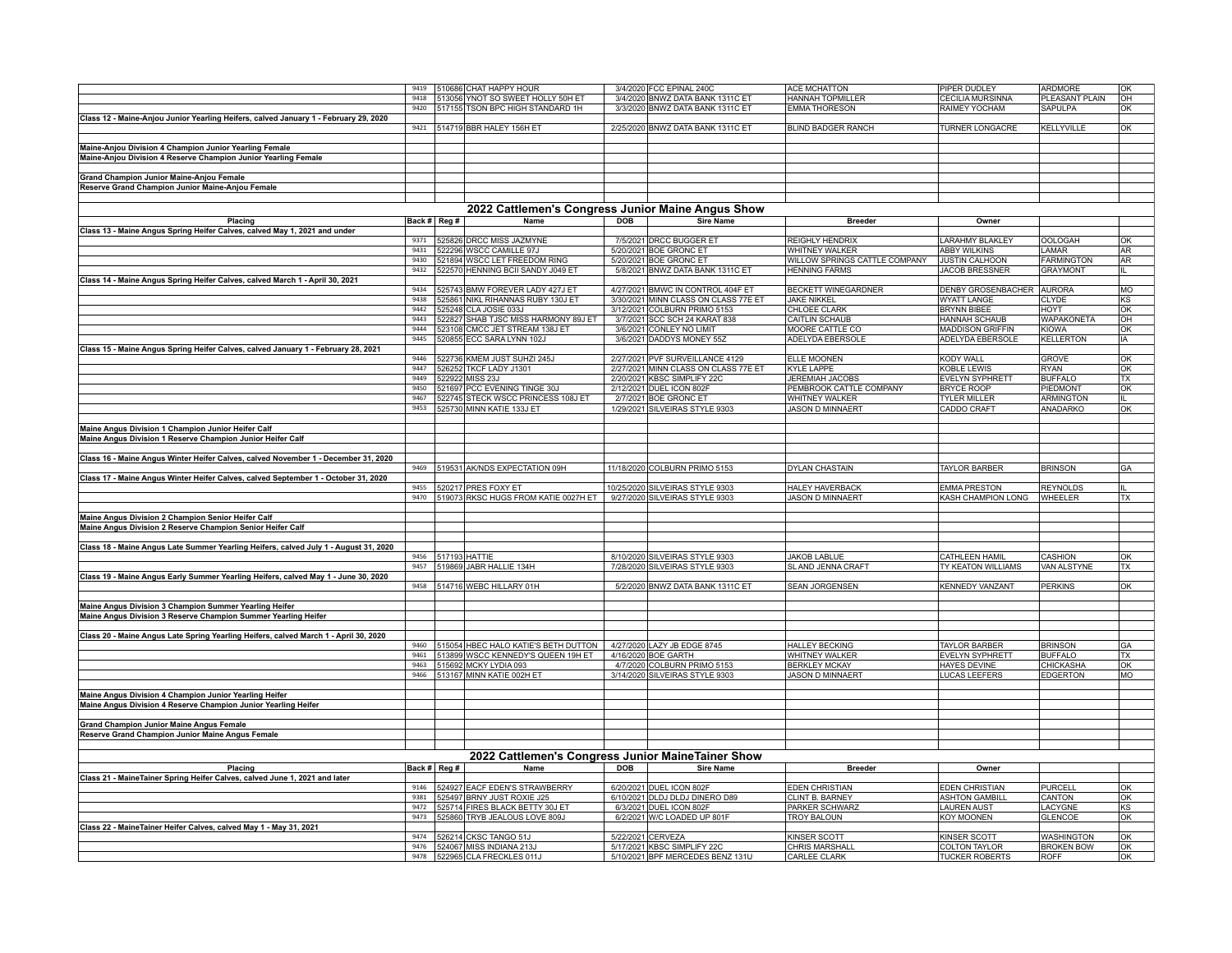|                                                                                      |      |                    | 9419 510686 CHAT HAPPY HOUR                       |            | 3/4/2020 FCC EPINAL 240C             | <b>ACE MCHATTON</b>           | PIPER DUDLEY              | ARDMORE           | OK        |
|--------------------------------------------------------------------------------------|------|--------------------|---------------------------------------------------|------------|--------------------------------------|-------------------------------|---------------------------|-------------------|-----------|
|                                                                                      |      |                    | 9418   513056 YNOT SO SWEET HOLLY 50H ET          |            | 3/4/2020 BNWZ DATA BANK 1311C ET     | <b>HANNAH TOPMILLER</b>       | CECILIA MURSINNA          | PLEASANT PLAIN    | OH        |
|                                                                                      |      |                    | 9420 517155 TSON BPC HIGH STANDARD 1H             |            | 3/3/2020 BNWZ DATA BANK 1311C ET     | <b>EMMA THORESON</b>          | RAIMEY YOCHAM             | <b>SAPULPA</b>    | OK        |
| Class 12 - Maine-Anjou Junior Yearling Heifers, calved January 1 - February 29, 2020 |      |                    |                                                   |            |                                      |                               |                           |                   |           |
|                                                                                      |      |                    | 9421 514719 BBR HALEY 156H ET                     |            | 2/25/2020 BNWZ DATA BANK 1311C ET    | <b>BLIND BADGER RANCH</b>     | <b>TURNER LONGACRE</b>    | <b>KELLYVILLE</b> | lok.      |
|                                                                                      |      |                    |                                                   |            |                                      |                               |                           |                   |           |
| Maine-Anjou Division 4 Champion Junior Yearling Female                               |      |                    |                                                   |            |                                      |                               |                           |                   |           |
|                                                                                      |      |                    |                                                   |            |                                      |                               |                           |                   |           |
| Maine-Anjou Division 4 Reserve Champion Junior Yearling Female                       |      |                    |                                                   |            |                                      |                               |                           |                   |           |
|                                                                                      |      |                    |                                                   |            |                                      |                               |                           |                   |           |
| Grand Champion Junior Maine-Anjou Female                                             |      |                    |                                                   |            |                                      |                               |                           |                   |           |
| Reserve Grand Champion Junior Maine-Anjou Female                                     |      |                    |                                                   |            |                                      |                               |                           |                   |           |
|                                                                                      |      |                    |                                                   |            |                                      |                               |                           |                   |           |
|                                                                                      |      |                    | 2022 Cattlemen's Congress Junior Maine Angus Show |            |                                      |                               |                           |                   |           |
| Placing                                                                              |      | Back # Reg #       | Name                                              | <b>DOB</b> | <b>Sire Name</b>                     | <b>Breeder</b>                | Owner                     |                   |           |
| Class 13 - Maine Angus Spring Heifer Calves, calved May 1, 2021 and under            |      |                    |                                                   |            |                                      |                               |                           |                   |           |
|                                                                                      |      |                    | 9371 525826 DRCC MISS JAZMYNE                     |            | 7/5/2021 DRCC BUGGER ET              | REIGHLY HENDRIX               | <b>ARAHMY BLAKLEY</b>     | <b>OOLOGAH</b>    | OK        |
|                                                                                      | 9431 |                    | 522296 WSCC CAMILLE 97J                           |            | 5/20/2021 BOE GRONC ET               | WHITNEY WALKER                | <b>ABBY WILKINS</b>       | LAMAR             | AR        |
|                                                                                      | 9430 |                    |                                                   |            |                                      | WILLOW SPRINGS CATTLE COMPANY |                           |                   | AR        |
|                                                                                      |      |                    | 521894 WSCC LET FREEDOM RING                      |            | 5/20/2021 BOE GRONC ET               | <b>HENNING FARMS</b>          | JUSTIN CALHOON            | <b>FARMINGTON</b> |           |
|                                                                                      | 9432 |                    | 522570 HENNING BCII SANDY J049 ET                 |            | 5/8/2021 BNWZ DATA BANK 1311C ET     |                               | <b>JACOB BRESSNER</b>     | <b>GRAYMONT</b>   |           |
| Class 14 - Maine Angus Spring Heifer Calves, calved March 1 - April 30, 2021         |      |                    |                                                   |            |                                      |                               |                           |                   |           |
|                                                                                      |      |                    | 9434 525743 BMW FOREVER LADY 427J ET              |            | 4/27/2021 BMWC IN CONTROL 404F ET    | <b>BECKETT WINEGARDNER</b>    | DENBY GROSENBACHER AURORA |                   | MO        |
|                                                                                      |      |                    | 9438 525861 NIKL RIHANNAS RUBY 130J ET            |            | 3/30/2021 MINN CLASS ON CLASS 77E ET | <b>JAKE NIKKEL</b>            | <b>WYATT LANGE</b>        | <b>CLYDE</b>      | KS        |
|                                                                                      | 9442 |                    | 525248 CLA JOSIE 033J                             |            | 3/12/2021 COLBURN PRIMO 5153         | CHLOEE CLARK                  | <b>BRYNN BIBEE</b>        | <b>HOYT</b>       | OK        |
|                                                                                      |      |                    | 9443   522827 SHAB TJSC MISS HARMONY 89J ET       |            | 3/7/2021 SCC SCH 24 KARAT 838        | CAITLIN SCHAUB                | HANNAH SCHAUB             | <b>WAPAKONETA</b> | OH        |
|                                                                                      | 9444 |                    | 523108 CMCC JET STREAM 138J ET                    |            | 3/6/2021 CONLEY NO LIMIT             | MOORE CATTLE CO               | <b>MADDISON GRIFFIN</b>   | <b>KIOWA</b>      | OK        |
|                                                                                      |      |                    | 9445   520855 ECC SARA LYNN 102J                  |            | 3/6/2021 DADDYS MONEY 55Z            | ADELYDA EBERSOLE              | ADELYDA EBERSOLE          | <b>KELLERTON</b>  | IA        |
| Class 15 - Maine Angus Spring Heifer Calves, calved January 1 - February 28, 2021    |      |                    |                                                   |            |                                      |                               |                           |                   |           |
|                                                                                      | 9446 |                    | 522736 KMEM JUST SUHZI 245J                       |            | 2/27/2021 PVF SURVEILLANCE 4129      | ELLE MOONEN                   | KODY WALL                 | <b>GROVE</b>      | OK        |
|                                                                                      | 9447 |                    | 526252 TKCF LADY J1301                            |            | 2/27/2021 MINN CLASS ON CLASS 77E ET | <b>KYLE LAPPE</b>             | KOBLE LEWIS               | <b>RYAN</b>       | OK        |
|                                                                                      |      |                    | 9449 522922 MISS 23J                              |            | 2/20/2021 KBSC SIMPLIFY 22C          | JEREMIAH JACOBS               | EVELYN SYPHRETT           | <b>BUFFALO</b>    | TX        |
|                                                                                      | 9450 |                    | 521697 PCC EVENING TINGE 30J                      |            | 2/12/2021 DUEL ICON 802F             | PEMBROOK CATTLE COMPANY       | <b>BRYCE ROOP</b>         | PIEDMONT          | OK        |
|                                                                                      | 9467 |                    | 522745 STECK WSCC PRINCESS 108J ET                |            | 2/7/2021 BOE GRONC ET                | WHITNEY WALKER                | TYLER MILLER              | <b>ARMINGTON</b>  | IL        |
|                                                                                      |      |                    | 9453 525730 MINN KATIE 133J ET                    |            | 1/29/2021 SILVEIRAS STYLE 9303       | <b>JASON D MINNAERT</b>       | CADDO CRAFT               | ANADARKO          | OK        |
|                                                                                      |      |                    |                                                   |            |                                      |                               |                           |                   |           |
| Maine Angus Division 1 Champion Junior Heifer Calf                                   |      |                    |                                                   |            |                                      |                               |                           |                   |           |
|                                                                                      |      |                    |                                                   |            |                                      |                               |                           |                   |           |
| Maine Angus Division 1 Reserve Champion Junior Heifer Calf                           |      |                    |                                                   |            |                                      |                               |                           |                   |           |
|                                                                                      |      |                    |                                                   |            |                                      |                               |                           |                   |           |
| Class 16 - Maine Angus Winter Heifer Calves, calved November 1 - December 31, 2020   |      |                    |                                                   |            |                                      |                               |                           |                   |           |
|                                                                                      |      |                    | 9469 519531 AK/NDS EXPECTATION 09H                |            | 11/18/2020 COLBURN PRIMO 5153        | DYLAN CHASTAIN                | <b>TAYLOR BARBER</b>      | <b>BRINSON</b>    | GA        |
| Class 17 - Maine Angus Winter Heifer Calves, calved September 1 - October 31, 2020   |      |                    |                                                   |            |                                      |                               |                           |                   |           |
|                                                                                      |      |                    | 9455 320217 PRES FOXY ET                          |            | 10/25/2020 SILVEIRAS STYLE 9303      | <b>HALEY HAVERBACK</b>        | <b>EMMA PRESTON</b>       | <b>REYNOLDS</b>   |           |
|                                                                                      |      |                    | 9470   519073 RKSC HUGS FROM KATIE 0027H ET       |            | 9/27/2020 SILVEIRAS STYLE 9303       | <b>JASON D MINNAERT</b>       | KASH CHAMPION LONG        | WHEELER           | TX        |
|                                                                                      |      |                    |                                                   |            |                                      |                               |                           |                   |           |
| Maine Angus Division 2 Champion Senior Heifer Calf                                   |      |                    |                                                   |            |                                      |                               |                           |                   |           |
| Maine Angus Division 2 Reserve Champion Senior Heifer Calf                           |      |                    |                                                   |            |                                      |                               |                           |                   |           |
|                                                                                      |      |                    |                                                   |            |                                      |                               |                           |                   |           |
| Class 18 - Maine Angus Late Summer Yearling Heifers, calved July 1 - August 31, 2020 |      |                    |                                                   |            |                                      |                               |                           |                   |           |
|                                                                                      |      | 9456 517193 HATTIE |                                                   |            | 8/10/2020 SILVEIRAS STYLE 9303       | <b>JAKOB LABLUE</b>           | CATHLEEN HAMIL            | CASHION           | OK        |
|                                                                                      |      |                    | 9457 519869 JABR HALLIE 134H                      |            | 7/28/2020 SILVEIRAS STYLE 9303       | SLAND JENNA CRAFT             | TY KEATON WILLIAMS        | VAN ALSTYNE       | TX        |
| Class 19 - Maine Angus Early Summer Yearling Heifers, calved May 1 - June 30, 2020   |      |                    |                                                   |            |                                      |                               |                           |                   |           |
|                                                                                      |      |                    | 9458 514716 WEBC HILLARY 01H                      |            | 5/2/2020 BNWZ DATA BANK 1311C ET     | <b>SEAN JORGENSEN</b>         | <b>KENNEDY VANZANT</b>    | <b>PERKINS</b>    | OK        |
|                                                                                      |      |                    |                                                   |            |                                      |                               |                           |                   |           |
|                                                                                      |      |                    |                                                   |            |                                      |                               |                           |                   |           |
| Maine Angus Division 3 Champion Summer Yearling Heifer                               |      |                    |                                                   |            |                                      |                               |                           |                   |           |
| Maine Angus Division 3 Reserve Champion Summer Yearling Heifer                       |      |                    |                                                   |            |                                      |                               |                           |                   |           |
|                                                                                      |      |                    |                                                   |            |                                      |                               |                           |                   |           |
| Class 20 - Maine Angus Late Spring Yearling Heifers, calved March 1 - April 30, 2020 |      |                    |                                                   |            |                                      |                               |                           |                   |           |
|                                                                                      |      |                    | 9460 515054 HBEC HALO KATIE'S BETH DUTTON         |            | 4/27/2020 LAZY JB EDGE 8745          | <b>HALLEY BECKING</b>         | <b>TAYLOR BARBER</b>      | <b>BRINSON</b>    | GA        |
|                                                                                      | 9461 |                    | 513899 WSCC KENNEDY'S QUEEN 19H ET                |            | 4/16/2020 BOE GARTH                  | WHITNEY WALKER                | <b>EVELYN SYPHRETT</b>    | <b>BUFFALO</b>    | TX        |
|                                                                                      |      |                    | 9463 515692 MCKY LYDIA 093                        |            | 4/7/2020 COLBURN PRIMO 5153          | <b>BERKLEY MCKAY</b>          | HAYES DEVINE              | CHICKASHA         | OK        |
|                                                                                      |      |                    | 9466 513167 MINN KATIE 002H ET                    |            | 3/14/2020 SILVEIRAS STYLE 9303       | <b>JASON D MINNAERT</b>       | LUCAS LEEFERS             | <b>EDGERTON</b>   | MO        |
|                                                                                      |      |                    |                                                   |            |                                      |                               |                           |                   |           |
| Maine Angus Division 4 Champion Junior Yearling Heifer                               |      |                    |                                                   |            |                                      |                               |                           |                   |           |
| Maine Angus Division 4 Reserve Champion Junior Yearling Heifer                       |      |                    |                                                   |            |                                      |                               |                           |                   |           |
|                                                                                      |      |                    |                                                   |            |                                      |                               |                           |                   |           |
| <b>Grand Champion Junior Maine Angus Female</b>                                      |      |                    |                                                   |            |                                      |                               |                           |                   |           |
| Reserve Grand Champion Junior Maine Angus Female                                     |      |                    |                                                   |            |                                      |                               |                           |                   |           |
|                                                                                      |      |                    |                                                   |            |                                      |                               |                           |                   |           |
|                                                                                      |      |                    |                                                   |            |                                      |                               |                           |                   |           |
|                                                                                      |      |                    | 2022 Cattlemen's Congress Junior MaineTainer Show |            |                                      |                               |                           |                   |           |
| Placing                                                                              |      | Back # Reg #       | Name                                              | <b>DOB</b> | <b>Sire Name</b>                     | <b>Breeder</b>                | Owner                     |                   |           |
| Class 21 - MaineTainer Spring Heifer Calves, calved June 1, 2021 and later           |      |                    |                                                   |            |                                      |                               |                           |                   |           |
|                                                                                      | 9146 |                    | 524927 EACF EDEN'S STRAWBERRY                     |            | 6/20/2021 DUEL ICON 802F             | <b>EDEN CHRISTIAN</b>         | <b>EDEN CHRISTIAN</b>     | <b>PURCELL</b>    | OK        |
|                                                                                      |      |                    | 9381   525497 BRNY JUST ROXIE J25                 |            | 6/10/2021 DLDJ DLDJ DINERO D89       | <b>CLINT B. BARNEY</b>        | <b>ASHTON GAMBILL</b>     | CANTON            | OK        |
|                                                                                      | 9472 |                    | 525714 FIRES BLACK BETTY 30J ET                   |            | 6/3/2021 DUEL ICON 802F              | PARKER SCHWARZ                | LAUREN AUST               | LACYGNE           | KS        |
|                                                                                      | 9473 |                    | 525860 TRYB JEALOUS LOVE 809J                     |            | 6/2/2021 W/C LOADED UP 801F          | <b>TROY BALOUN</b>            | <b>KOY MOONEN</b>         | <b>GLENCOE</b>    | OK        |
| Class 22 - MaineTainer Heifer Calves, calved May 1 - May 31, 2021                    |      |                    |                                                   |            |                                      |                               |                           |                   |           |
|                                                                                      |      |                    | 9474 526214 CKSC TANGO 51J                        |            | 5/22/2021 CERVEZA                    | KINSER SCOTT                  | KINSER SCOTT              | WASHINGTON        | <b>OK</b> |
|                                                                                      |      |                    | 9476   524067 MISS INDIANA 213J                   |            | 5/17/2021 KBSC SIMPLIFY 22C          | <b>CHRIS MARSHALL</b>         | <b>COLTON TAYLOR</b>      | <b>BROKEN BOW</b> | OK        |
|                                                                                      |      |                    | 9478 522965 CLA FRECKLES 011J                     |            | 5/10/2021 BPF MERCEDES BENZ 131U     | <b>CARLEE CLARK</b>           | <b>TUCKER ROBERTS</b>     | <b>ROFF</b>       | OK        |
|                                                                                      |      |                    |                                                   |            |                                      |                               |                           |                   |           |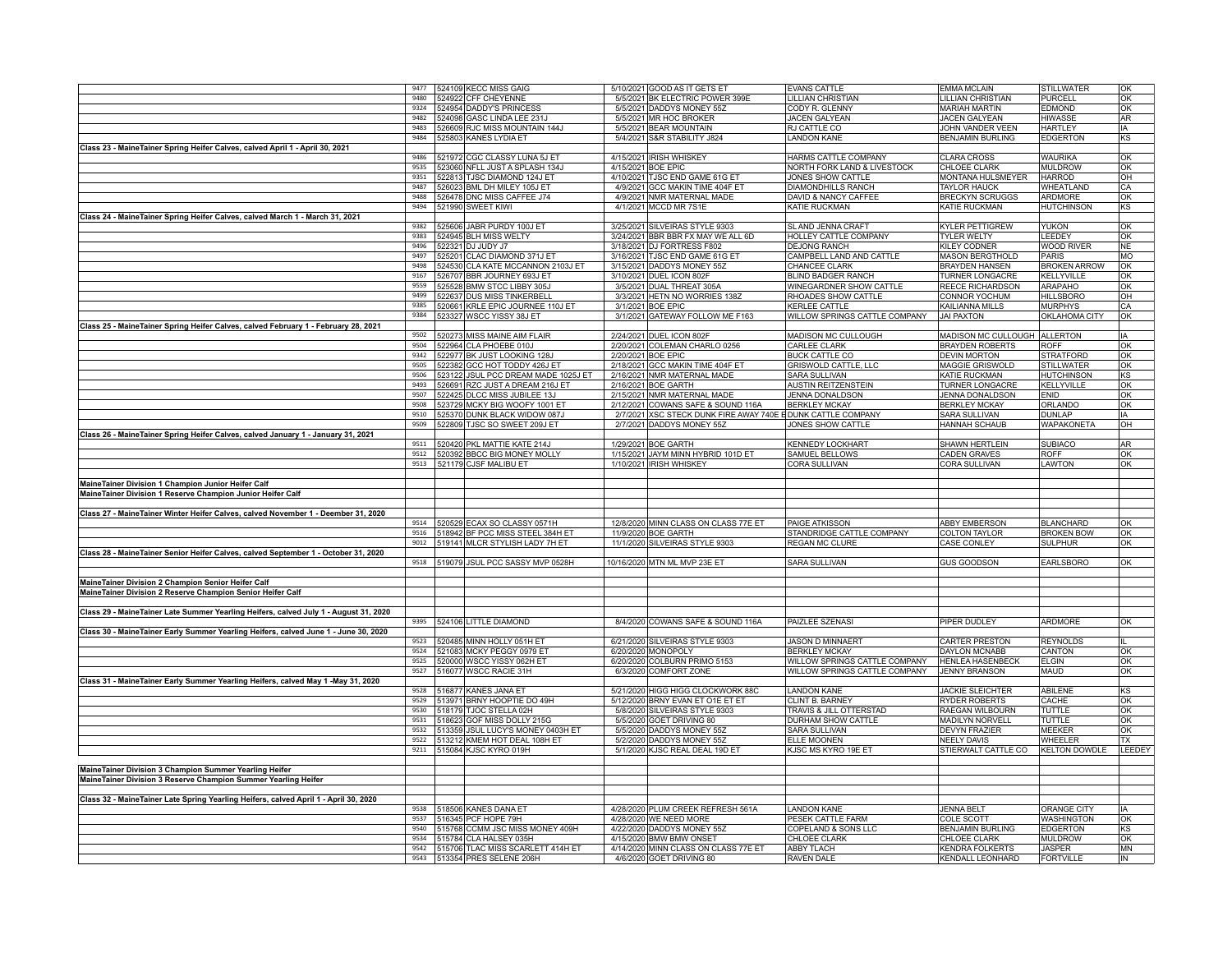|                                                                                       |              | 9477   524109 KECC MISS GAIG                                        | 5/10/2021 GOOD AS IT GETS ET                                     | <b>EVANS CATTLE</b>                   | <b>EMMA MCLAIN</b>                             | STILLWATER                      | OK                    |
|---------------------------------------------------------------------------------------|--------------|---------------------------------------------------------------------|------------------------------------------------------------------|---------------------------------------|------------------------------------------------|---------------------------------|-----------------------|
|                                                                                       | 9480         | 524922 CFF CHEYENNE                                                 | 5/5/2021 BK ELECTRIC POWER 399E                                  | LILLIAN CHRISTIAN                     | LILLIAN CHRISTIAN                              | <b>PURCELL</b>                  | OK                    |
|                                                                                       | 9324         | 524954 DADDY'S PRINCESS                                             | 5/5/2021 DADDYS MONEY 55Z                                        | CODY R. GLENNY                        | <b>MARIAH MARTIN</b>                           | <b>EDMOND</b>                   | OK                    |
|                                                                                       | 9482         | 524098 GASC LINDA LEE 231J                                          | 5/5/2021 MR HOC BROKER                                           | JACEN GALYEAN                         | JACEN GALYEAN                                  | HIWASSE                         | AR                    |
|                                                                                       | 9483         | 526609 RJC MISS MOUNTAIN 144J                                       | 5/5/2021 BEAR MOUNTAIN                                           | RJ CATTLE CO                          | JOHN VANDER VEEN                               | HARTLEY                         | IA                    |
|                                                                                       | 9484         | 525803 KANES LYDIA ET                                               | 5/4/2021 S&R STABILITY J824                                      | <b>LANDON KANE</b>                    | <b>BENJAMIN BURLING</b>                        | <b>EDGERTON</b>                 | KS                    |
| Class 23 - MaineTainer Spring Heifer Calves, calved April 1 - April 30, 2021          |              |                                                                     |                                                                  |                                       |                                                |                                 |                       |
|                                                                                       | 9486         | 521972 CGC CLASSY LUNA 5J ET                                        | 4/15/2021 IRISH WHISKEY                                          | HARMS CATTLE COMPANY                  | <b>CLARA CROSS</b>                             | <b>WAURIKA</b>                  | lok                   |
|                                                                                       | 9535         | 523060 NFLL JUST A SPLASH 134J                                      | 4/15/2021 BOE EPIC                                               | NORTH FORK LAND & LIVESTOCK           | <b>CHLOEE CLARK</b>                            | MULDROW                         | OK                    |
|                                                                                       | 9351<br>9487 | 522813 TJSC DIAMOND 124J ET                                         | 4/10/2021 TJSC END GAME 61G ET                                   | JONES SHOW CATTLE                     | MONTANA HULSMEYER                              | <b>HARROD</b>                   | OH                    |
|                                                                                       | 9488         | 526023 BML DH MILEY 105J ET                                         | 4/9/2021 GCC MAKIN TIME 404F ET                                  | DIAMONDHILLS RANCH                    | <b>TAYLOR HAUCK</b>                            | WHEATLAND                       | CA                    |
|                                                                                       | 9494         | 526478 DNC MISS CAFFEE J74<br>521990 SWEET KIWI                     | 4/9/2021 NMR MATERNAL MADE<br>4/1/2021 MCCD MR 7S1E              | DAVID & NANCY CAFFEE<br>KATIE RUCKMAN | <b>BRECKYN SCRUGGS</b><br><b>KATIE RUCKMAN</b> | ARDMORE<br>HUTCHINSON           | OK<br>KS.             |
| Class 24 - MaineTainer Spring Heifer Calves, calved March 1 - March 31, 2021          |              |                                                                     |                                                                  |                                       |                                                |                                 |                       |
|                                                                                       | 9382         | 525606 JABR PURDY 100J ET                                           | 3/25/2021 SILVEIRAS STYLE 9303                                   | SLAND JENNA CRAFT                     | <b>KYLER PETTIGREW</b>                         | <b>YUKON</b>                    | lok                   |
|                                                                                       | 9383         | 524945 BLH MISS WELTY                                               | 3/24/2021 BBR BBR FX MAY WE ALL 6D                               | <b>HOLLEY CATTLE COMPANY</b>          | <b>TYLER WELTY</b>                             | LEEDEY                          | lok                   |
|                                                                                       | 9496         | 522321 DJ JUDY J7                                                   | 3/18/2021 DJ FORTRESS F802                                       | <b>DEJONG RANCH</b>                   | KILEY CODNER                                   | <b>WOOD RIVER</b>               | <b>NF</b>             |
|                                                                                       | 9497         | 525201 CLAC DIAMOND 371J ET                                         | 3/16/2021 TJSC END GAME 61G ET                                   | CAMPBELL LAND AND CATTLE              | <b>MASON BERGTHOLD</b>                         | <b>PARIS</b>                    | MO                    |
|                                                                                       | 9498         | 524530 CLA KATE MCCANNON 2103J ET                                   | 3/15/2021 DADDYS MONEY 55Z                                       | CHANCEE CLARK                         | <b>BRAYDEN HANSEN</b>                          | <b>BROKEN ARROW</b>             | OK                    |
|                                                                                       | 9167         | 526707 BBR JOURNEY 693J ET                                          | 3/10/2021 DUEL ICON 802F                                         | BLIND BADGER RANCH                    | <b>TURNER LONGACRE</b>                         | KELLYVILLE                      | OK                    |
|                                                                                       | 9559         | 525528 BMW STCC LIBBY 305J                                          | 3/5/2021 DUAL THREAT 305A                                        | WINEGARDNER SHOW CATTLE               | REECE RICHARDSON                               | ARAPAHO                         | OK                    |
|                                                                                       | 9499         | 522637 DUS MISS TINKERBELL                                          | 3/3/2021 HETN NO WORRIES 138Z                                    | RHOADES SHOW CATTLE                   | <b>CONNOR YOCHUM</b>                           | <b>HILLSBORO</b>                | OH                    |
|                                                                                       | 9385         | 520661 KRLE EPIC JOURNEE 110J ET                                    | 3/1/2021 BOE EPIC                                                | <b>KERLEE CATTLE</b>                  | KAILIANNA MILLS                                | <b>MURPHYS</b>                  | CA                    |
|                                                                                       | 9384         | 523327 WSCC YISSY 38J ET                                            | 3/1/2021 GATEWAY FOLLOW ME F163                                  | WILLOW SPRINGS CATTLE COMPANY         | JAI PAXTON                                     | OKLAHOMA CITY                   | lok                   |
| Class 25 - MaineTainer Spring Heifer Calves, calved February 1 - February 28, 2021    |              |                                                                     |                                                                  |                                       |                                                |                                 |                       |
|                                                                                       | 9502         | 520273 MISS MAINE AIM FLAIR                                         | 2/24/2021 DUEL ICON 802F                                         | MADISON MC CULLOUGH                   | MADISON MC CULLOUGH ALLERTON                   |                                 | l IA                  |
|                                                                                       | 9504         | 522964 CLA PHOEBE 010J                                              | 2/20/2021 COLEMAN CHARLO 0256                                    | <b>CARLEE CLARK</b>                   | <b>BRAYDEN ROBERTS</b>                         | ROFF                            | lok                   |
|                                                                                       | 9342<br>9505 | 522977 BK JUST LOOKING 128J                                         | 2/20/2021 BOE EPIC                                               | <b>BUCK CATTLE CO</b>                 | <b>DEVIN MORTON</b>                            | <b>STRATFORD</b>                | OK                    |
|                                                                                       | 9506         | 522382 GCC HOT TODDY 426J ET<br>523122 JSUL PCC DREAM MADE 1025J ET | 2/18/2021 GCC MAKIN TIME 404F ET<br>2/16/2021 NMR MATERNAL MADE  | GRISWOLD CATTLE, LLC<br>SARA SULLIVAN | MAGGIE GRISWOLD<br>KATIE RUCKMAN               | STILLWATER<br><b>HUTCHINSON</b> | OK<br>KS <sub>.</sub> |
|                                                                                       | 9493         | 526691 RZC JUST A DREAM 216J ET                                     | 2/16/2021 BOE GARTH                                              | AUSTIN REITZENSTEIN                   | <b>TURNER LONGACRE</b>                         | KELLYVILLE                      | OK                    |
|                                                                                       | 9507         | 522425 DLCC MISS JUBILEE 13J                                        | 2/15/2021 NMR MATERNAL MADE                                      | JENNA DONALDSON                       | JENNA DONALDSON                                | ENID                            | OK                    |
|                                                                                       | 9508         | 523729 MCKY BIG WOOFY 1001 ET                                       | 2/12/2021 COWANS SAFE & SOUND 116A                               | <b>BERKLEY MCKAY</b>                  | <b>BERKLEY MCKAY</b>                           | ORLANDO                         | OK                    |
|                                                                                       | 9510         | 525370 DUNK BLACK WIDOW 087J                                        | 2/7/2021 XSC STECK DUNK FIRE AWAY 740E EDUNK CATTLE COMPANY      |                                       | SARA SULLIVAN                                  | <b>DUNLAP</b>                   | lia.                  |
|                                                                                       | 9509         | 522809 TJSC SO SWEET 209J ET                                        | 2/7/2021 DADDYS MONEY 55Z                                        | JONES SHOW CATTLE                     | <b>HANNAH SCHAUB</b>                           | <b>WAPAKONETA</b>               | <b>OH</b>             |
| Class 26 - MaineTainer Spring Heifer Calves, calved January 1 - January 31, 2021      |              |                                                                     |                                                                  |                                       |                                                |                                 |                       |
|                                                                                       | 9511         | 520420 PKL MATTIE KATE 214J                                         | 1/29/2021 BOE GARTH                                              | <b>KENNEDY LOCKHART</b>               | SHAWN HERTLEIN                                 | <b>SUBIACO</b>                  | AR                    |
|                                                                                       | 9512         | 520392 BBCC BIG MONEY MOLLY                                         | 1/15/2021 JAYM MINN HYBRID 101D ET                               | SAMUEL BELLOWS                        | CADEN GRAVES                                   | <b>ROFF</b>                     | lok                   |
|                                                                                       |              | 9513   521179 CJSF MALIBU ET                                        | 1/10/2021 IRISH WHISKEY                                          | CORA SULLIVAN                         | CORA SULLIVAN                                  | LAWTON                          | OK                    |
|                                                                                       |              |                                                                     |                                                                  |                                       |                                                |                                 |                       |
| MaineTainer Division 1 Champion Junior Heifer Calf                                    |              |                                                                     |                                                                  |                                       |                                                |                                 |                       |
| MaineTainer Division 1 Reserve Champion Junior Heifer Calf                            |              |                                                                     |                                                                  |                                       |                                                |                                 |                       |
|                                                                                       |              |                                                                     |                                                                  |                                       |                                                |                                 |                       |
| Class 27 - Maine Tainer Winter Heifer Calves, calved November 1 - Deember 31, 2020    |              | 520529 ECAX SO CLASSY 0571H                                         | 12/8/2020 MINN CLASS ON CLASS 77E ET                             | PAIGE ATKISSON                        | <b>ABBY EMBERSON</b>                           | <b>BLANCHARD</b>                | lok                   |
|                                                                                       |              | 9516   518942 BF PCC MISS STEEL 384H ET                             | 11/9/2020 BOE GARTH                                              | STANDRIDGE CATTLE COMPANY             | <b>COLTON TAYLOR</b>                           | <b>BROKEN BOW</b>               | lok                   |
|                                                                                       | 9012         | 519141 MLCR STYLISH LADY 7H ET                                      | 11/1/2020 SILVEIRAS STYLE 9303                                   | REGAN MC CLURE                        | CASE CONLEY                                    | <b>SULPHUR</b>                  | OK                    |
| Class 28 - MaineTainer Senior Heifer Calves, calved September 1 - October 31, 2020    |              |                                                                     |                                                                  |                                       |                                                |                                 |                       |
|                                                                                       |              | 9518   519079 JSUL PCC SASSY MVP 0528H                              | 10/16/2020 MTN ML MVP 23E ET                                     | <b>SARA SULLIVAN</b>                  | <b>GUS GOODSON</b>                             | <b>EARLSBORO</b>                | OK                    |
|                                                                                       |              |                                                                     |                                                                  |                                       |                                                |                                 |                       |
| MaineTainer Division 2 Champion Senior Heifer Calf                                    |              |                                                                     |                                                                  |                                       |                                                |                                 |                       |
| Maine Tainer Division 2 Reserve Champion Senior Heifer Calf                           |              |                                                                     |                                                                  |                                       |                                                |                                 |                       |
|                                                                                       |              |                                                                     |                                                                  |                                       |                                                |                                 |                       |
| Class 29 - Maine Tainer Late Summer Yearling Heifers, calved July 1 - August 31, 2020 |              |                                                                     |                                                                  |                                       |                                                |                                 |                       |
|                                                                                       |              | 9395 524106 LITTLE DIAMOND                                          | 8/4/2020 COWANS SAFE & SOUND 116A                                | PAIZLEE SZENASI                       | PIPER DUDLEY                                   | ARDMORE                         | OK                    |
| Class 30 - Maine Tainer Early Summer Yearling Heifers, calved June 1 - June 30, 2020  | 9523         | 520485 MINN HOLLY 051H ET                                           | 6/21/2020 SILVEIRAS STYLE 9303                                   | <b>JASON D MINNAERT</b>               | <b>CARTER PRESTON</b>                          | <b>REYNOLDS</b>                 |                       |
|                                                                                       | 9524         | 521083 MCKY PEGGY 0979 ET                                           | 6/20/2020 MONOPOLY                                               | <b>BERKLEY MCKAY</b>                  | DAYLON MCNABB                                  | CANTON                          | OK                    |
|                                                                                       | 9525         | 520000 WSCC YISSY 062H ET                                           | 6/20/2020 COLBURN PRIMO 5153                                     | WILLOW SPRINGS CATTLE COMPANY         | <b>HENLEA HASENBECK</b>                        | ELGIN                           | OK                    |
|                                                                                       | 9527         | 516077 WSCC RACIE 31H                                               | 6/3/2020 COMFORT ZONE                                            | WILLOW SPRINGS CATTLE COMPANY         | <b>JENNY BRANSON</b>                           | MAUD                            | OK                    |
| Class 31 - MaineTainer Early Summer Yearling Heifers, calved May 1 - May 31, 2020     |              |                                                                     |                                                                  |                                       |                                                |                                 |                       |
|                                                                                       | 9528         | 516877 KANES JANA ET                                                | 5/21/2020 HIGG HIGG CLOCKWORK 88C                                | <b>LANDON KANE</b>                    | <b>JACKIE SLEICHTER</b>                        | <b>ABILENE</b>                  | lks.                  |
|                                                                                       | 9529         | 513971 BRNY HOOPTIE DO 49H                                          | 5/12/2020 BRNY EVAN ET O1E ET ET                                 | CLINT B. BARNEY                       | <b>RYDER ROBERTS</b>                           | CACHE                           | OK                    |
|                                                                                       |              |                                                                     |                                                                  |                                       |                                                |                                 | lok                   |
|                                                                                       | 9530         | 518179 TJOC STELLA 02H                                              | 5/8/2020 SILVEIRAS STYLE 9303                                    | TRAVIS & JILL OTTERSTAD               | RAEGAN WILBOURN                                | TUTTLE                          |                       |
|                                                                                       | 9531         | 518623 GOF MISS DOLLY 215G                                          | 5/5/2020 GOET DRIVING 80                                         | DURHAM SHOW CATTLE                    | <b>MADILYN NORVELL</b>                         | TUTTLE                          | OK                    |
|                                                                                       | 9532         | 513359 JSUL LUCY'S MONEY 0403H ET                                   | 5/5/2020 DADDYS MONEY 55Z                                        | SARA SULLIVAN                         | <b>DEVYN FRAZIER</b>                           | MEEKER                          | OK                    |
|                                                                                       | 9522         | 513212 KMEM HOT DEAL 108H ET                                        | 5/2/2020 DADDYS MONEY 55Z                                        | ELLE MOONEN                           | <b>NEELY DAVIS</b>                             | WHEELER                         | <b>TX</b>             |
|                                                                                       | 9211         | 515084 KJSC KYRO 019H                                               | 5/1/2020 KJSC REAL DEAL 19D ET                                   | KJSC MS KYRO 19E ET                   | STIERWALT CATTLE CO                            | <b>KELTON DOWDLE</b>            | LEEDEY                |
|                                                                                       |              |                                                                     |                                                                  |                                       |                                                |                                 |                       |
| MaineTainer Division 3 Champion Summer Yearling Heifer                                |              |                                                                     |                                                                  |                                       |                                                |                                 |                       |
| MaineTainer Division 3 Reserve Champion Summer Yearling Heifer                        |              |                                                                     |                                                                  |                                       |                                                |                                 |                       |
|                                                                                       |              |                                                                     |                                                                  |                                       |                                                |                                 |                       |
| Class 32 - Maine Tainer Late Spring Yearling Heifers, calved April 1 - April 30, 2020 |              | 9538   518506 KANES DANA ET                                         | 4/28/2020 PLUM CREEK REFRESH 561A                                | <b>LANDON KANE</b>                    | JENNA BELT                                     | ORANGE CITY                     | lіA                   |
|                                                                                       | 9537         | 516345 PCF HOPE 79H                                                 | 4/28/2020 WE NEED MORE                                           | PESEK CATTLE FARM                     | <b>COLE SCOTT</b>                              | WASHINGTON                      | OK                    |
|                                                                                       | 9540         | 515768 CCMM JSC MISS MONEY 409H                                     | 4/22/2020 DADDYS MONEY 55Z                                       | COPELAND & SONS LLC                   | <b>BENJAMIN BURLING</b>                        | <b>EDGERTON</b>                 | KS                    |
|                                                                                       | 9534         | 515784 CLA HALSEY 035H                                              | 4/15/2020 BMW BMW ONSET                                          | CHLOEE CLARK                          | CHLOEE CLARK                                   | <b>MULDROW</b>                  | OK                    |
|                                                                                       | 9542         | 515706 TLAC MISS SCARLETT 414H ET<br>9543 513354 PRES SELENE 206H   | 4/14/2020 MINN CLASS ON CLASS 77E ET<br>4/6/2020 GOET DRIVING 80 | <b>ABBY TLACH</b><br>RAVEN DALE       | <b>KENDRA FOLKERTS</b><br>KENDALL LEONHARD     | <b>JASPER</b><br>FORTVILLE      | M <sub>N</sub><br>IN. |